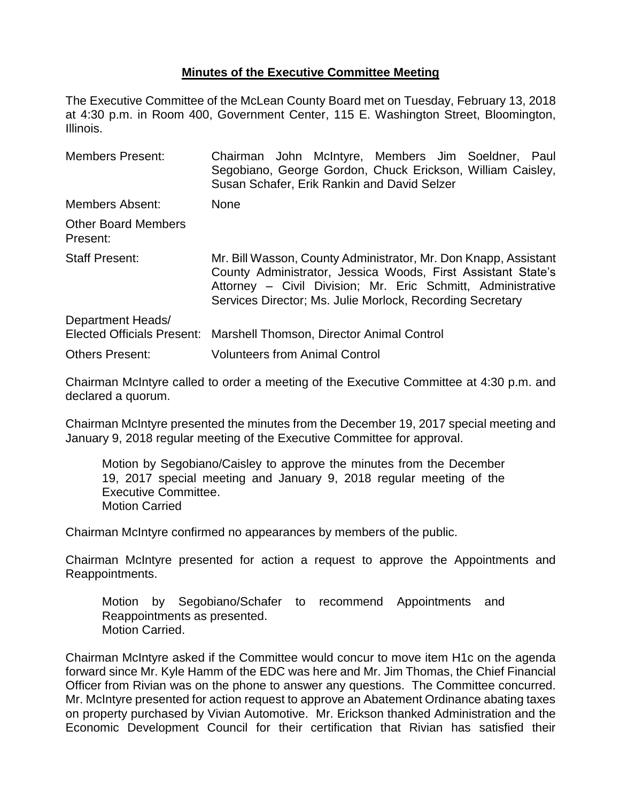## **Minutes of the Executive Committee Meeting**

The Executive Committee of the McLean County Board met on Tuesday, February 13, 2018 at 4:30 p.m. in Room 400, Government Center, 115 E. Washington Street, Bloomington, Illinois.

| <b>Members Present:</b>                | Chairman John McIntyre, Members Jim Soeldner, Paul<br>Segobiano, George Gordon, Chuck Erickson, William Caisley,<br>Susan Schafer, Erik Rankin and David Selzer                                                                                             |
|----------------------------------------|-------------------------------------------------------------------------------------------------------------------------------------------------------------------------------------------------------------------------------------------------------------|
| Members Absent:                        | <b>None</b>                                                                                                                                                                                                                                                 |
| <b>Other Board Members</b><br>Present: |                                                                                                                                                                                                                                                             |
| <b>Staff Present:</b>                  | Mr. Bill Wasson, County Administrator, Mr. Don Knapp, Assistant<br>County Administrator, Jessica Woods, First Assistant State's<br>Attorney - Civil Division; Mr. Eric Schmitt, Administrative<br>Services Director; Ms. Julie Morlock, Recording Secretary |
| Department Heads/                      | Elected Officials Present: Marshell Thomson, Director Animal Control                                                                                                                                                                                        |
| <b>Others Present:</b>                 | <b>Volunteers from Animal Control</b>                                                                                                                                                                                                                       |

Chairman McIntyre called to order a meeting of the Executive Committee at 4:30 p.m. and declared a quorum.

Chairman McIntyre presented the minutes from the December 19, 2017 special meeting and January 9, 2018 regular meeting of the Executive Committee for approval.

Motion by Segobiano/Caisley to approve the minutes from the December 19, 2017 special meeting and January 9, 2018 regular meeting of the Executive Committee. Motion Carried

Chairman McIntyre confirmed no appearances by members of the public.

Chairman McIntyre presented for action a request to approve the Appointments and Reappointments.

Motion by Segobiano/Schafer to recommend Appointments and Reappointments as presented. Motion Carried.

Chairman McIntyre asked if the Committee would concur to move item H1c on the agenda forward since Mr. Kyle Hamm of the EDC was here and Mr. Jim Thomas, the Chief Financial Officer from Rivian was on the phone to answer any questions. The Committee concurred. Mr. McIntyre presented for action request to approve an Abatement Ordinance abating taxes on property purchased by Vivian Automotive. Mr. Erickson thanked Administration and the Economic Development Council for their certification that Rivian has satisfied their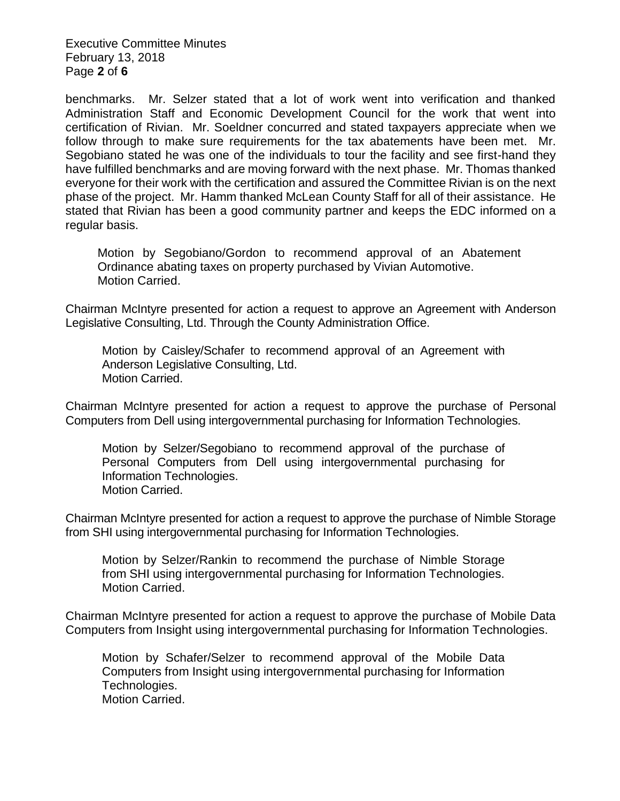Executive Committee Minutes February 13, 2018 Page **2** of **6**

benchmarks. Mr. Selzer stated that a lot of work went into verification and thanked Administration Staff and Economic Development Council for the work that went into certification of Rivian. Mr. Soeldner concurred and stated taxpayers appreciate when we follow through to make sure requirements for the tax abatements have been met. Mr. Segobiano stated he was one of the individuals to tour the facility and see first-hand they have fulfilled benchmarks and are moving forward with the next phase. Mr. Thomas thanked everyone for their work with the certification and assured the Committee Rivian is on the next phase of the project. Mr. Hamm thanked McLean County Staff for all of their assistance. He stated that Rivian has been a good community partner and keeps the EDC informed on a regular basis.

Motion by Segobiano/Gordon to recommend approval of an Abatement Ordinance abating taxes on property purchased by Vivian Automotive. Motion Carried.

Chairman McIntyre presented for action a request to approve an Agreement with Anderson Legislative Consulting, Ltd. Through the County Administration Office.

Motion by Caisley/Schafer to recommend approval of an Agreement with Anderson Legislative Consulting, Ltd. Motion Carried.

Chairman McIntyre presented for action a request to approve the purchase of Personal Computers from Dell using intergovernmental purchasing for Information Technologies.

Motion by Selzer/Segobiano to recommend approval of the purchase of Personal Computers from Dell using intergovernmental purchasing for Information Technologies. Motion Carried.

Chairman McIntyre presented for action a request to approve the purchase of Nimble Storage from SHI using intergovernmental purchasing for Information Technologies.

Motion by Selzer/Rankin to recommend the purchase of Nimble Storage from SHI using intergovernmental purchasing for Information Technologies. Motion Carried.

Chairman McIntyre presented for action a request to approve the purchase of Mobile Data Computers from Insight using intergovernmental purchasing for Information Technologies.

Motion by Schafer/Selzer to recommend approval of the Mobile Data Computers from Insight using intergovernmental purchasing for Information Technologies. Motion Carried.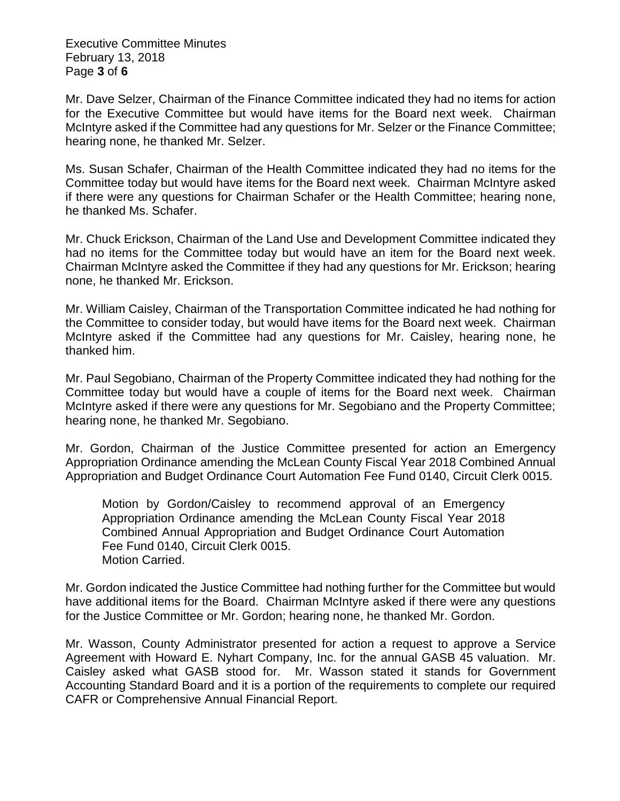Executive Committee Minutes February 13, 2018 Page **3** of **6**

Mr. Dave Selzer, Chairman of the Finance Committee indicated they had no items for action for the Executive Committee but would have items for the Board next week. Chairman McIntyre asked if the Committee had any questions for Mr. Selzer or the Finance Committee; hearing none, he thanked Mr. Selzer.

Ms. Susan Schafer, Chairman of the Health Committee indicated they had no items for the Committee today but would have items for the Board next week. Chairman McIntyre asked if there were any questions for Chairman Schafer or the Health Committee; hearing none, he thanked Ms. Schafer.

Mr. Chuck Erickson, Chairman of the Land Use and Development Committee indicated they had no items for the Committee today but would have an item for the Board next week. Chairman McIntyre asked the Committee if they had any questions for Mr. Erickson; hearing none, he thanked Mr. Erickson.

Mr. William Caisley, Chairman of the Transportation Committee indicated he had nothing for the Committee to consider today, but would have items for the Board next week. Chairman McIntyre asked if the Committee had any questions for Mr. Caisley, hearing none, he thanked him.

Mr. Paul Segobiano, Chairman of the Property Committee indicated they had nothing for the Committee today but would have a couple of items for the Board next week. Chairman McIntyre asked if there were any questions for Mr. Segobiano and the Property Committee; hearing none, he thanked Mr. Segobiano.

Mr. Gordon, Chairman of the Justice Committee presented for action an Emergency Appropriation Ordinance amending the McLean County Fiscal Year 2018 Combined Annual Appropriation and Budget Ordinance Court Automation Fee Fund 0140, Circuit Clerk 0015.

Motion by Gordon/Caisley to recommend approval of an Emergency Appropriation Ordinance amending the McLean County Fiscal Year 2018 Combined Annual Appropriation and Budget Ordinance Court Automation Fee Fund 0140, Circuit Clerk 0015. Motion Carried.

Mr. Gordon indicated the Justice Committee had nothing further for the Committee but would have additional items for the Board. Chairman McIntyre asked if there were any questions for the Justice Committee or Mr. Gordon; hearing none, he thanked Mr. Gordon.

Mr. Wasson, County Administrator presented for action a request to approve a Service Agreement with Howard E. Nyhart Company, Inc. for the annual GASB 45 valuation. Mr. Caisley asked what GASB stood for. Mr. Wasson stated it stands for Government Accounting Standard Board and it is a portion of the requirements to complete our required CAFR or Comprehensive Annual Financial Report.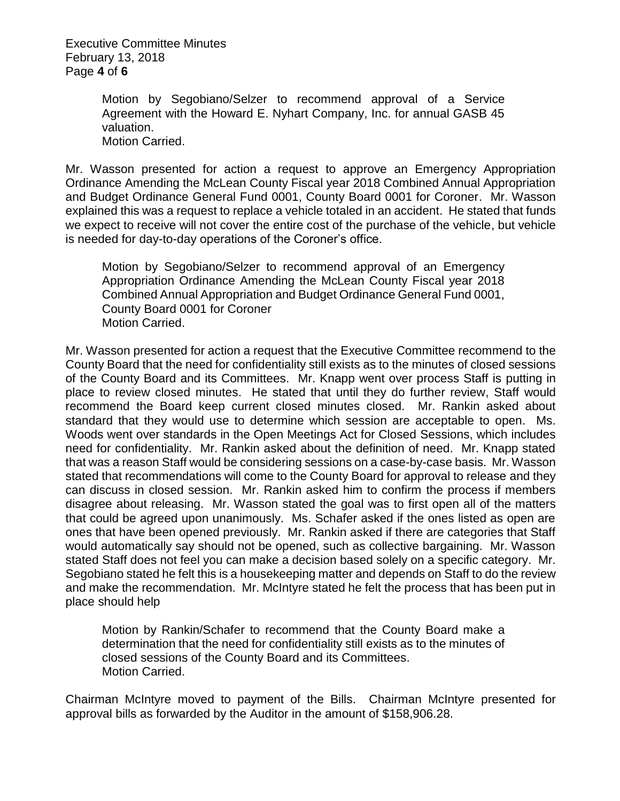Executive Committee Minutes February 13, 2018 Page **4** of **6**

> Motion by Segobiano/Selzer to recommend approval of a Service Agreement with the Howard E. Nyhart Company, Inc. for annual GASB 45 valuation. Motion Carried.

Mr. Wasson presented for action a request to approve an Emergency Appropriation Ordinance Amending the McLean County Fiscal year 2018 Combined Annual Appropriation and Budget Ordinance General Fund 0001, County Board 0001 for Coroner. Mr. Wasson explained this was a request to replace a vehicle totaled in an accident. He stated that funds we expect to receive will not cover the entire cost of the purchase of the vehicle, but vehicle is needed for day-to-day operations of the Coroner's office.

Motion by Segobiano/Selzer to recommend approval of an Emergency Appropriation Ordinance Amending the McLean County Fiscal year 2018 Combined Annual Appropriation and Budget Ordinance General Fund 0001, County Board 0001 for Coroner Motion Carried.

Mr. Wasson presented for action a request that the Executive Committee recommend to the County Board that the need for confidentiality still exists as to the minutes of closed sessions of the County Board and its Committees. Mr. Knapp went over process Staff is putting in place to review closed minutes. He stated that until they do further review, Staff would recommend the Board keep current closed minutes closed. Mr. Rankin asked about standard that they would use to determine which session are acceptable to open. Ms. Woods went over standards in the Open Meetings Act for Closed Sessions, which includes need for confidentiality. Mr. Rankin asked about the definition of need. Mr. Knapp stated that was a reason Staff would be considering sessions on a case-by-case basis. Mr. Wasson stated that recommendations will come to the County Board for approval to release and they can discuss in closed session. Mr. Rankin asked him to confirm the process if members disagree about releasing. Mr. Wasson stated the goal was to first open all of the matters that could be agreed upon unanimously. Ms. Schafer asked if the ones listed as open are ones that have been opened previously. Mr. Rankin asked if there are categories that Staff would automatically say should not be opened, such as collective bargaining. Mr. Wasson stated Staff does not feel you can make a decision based solely on a specific category. Mr. Segobiano stated he felt this is a housekeeping matter and depends on Staff to do the review and make the recommendation. Mr. McIntyre stated he felt the process that has been put in place should help

Motion by Rankin/Schafer to recommend that the County Board make a determination that the need for confidentiality still exists as to the minutes of closed sessions of the County Board and its Committees. Motion Carried.

Chairman McIntyre moved to payment of the Bills. Chairman McIntyre presented for approval bills as forwarded by the Auditor in the amount of \$158,906.28.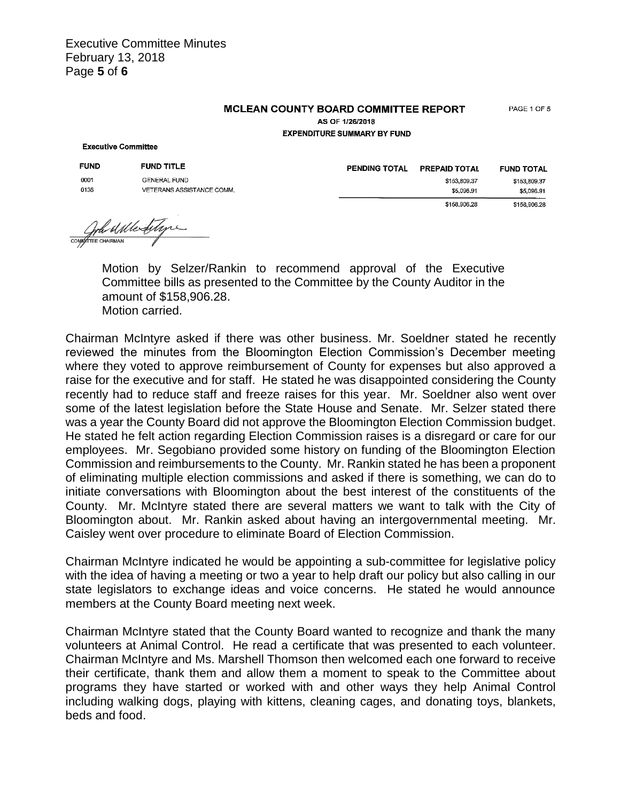## **MCLEAN COUNTY BOARD COMMITTEE REPORT**

PAGE 1 OF 5

**AS OF 1/26/2018 EXPENDITURE SUMMARY BY FUND** 

## **Executive Committee**

| <b>FUND</b> | <b>FUND TITLE</b>         |
|-------------|---------------------------|
| በበበ1        | <b>GENERAL FUND</b>       |
| 0136        | VETERANS ASSISTANCE COMM. |

PENDING TOTAL PREPAID TOTAL **FUND TOTAL** \$153,809.37 \$153,809.37 \$5,096.91 \$5,096.91 \$158,906.28 \$158,906.28

Wa al Me filys COMMITTEE CHAIRMAN

Motion by Selzer/Rankin to recommend approval of the Executive Committee bills as presented to the Committee by the County Auditor in the amount of \$158,906.28. Motion carried.

Chairman McIntyre asked if there was other business. Mr. Soeldner stated he recently reviewed the minutes from the Bloomington Election Commission's December meeting where they voted to approve reimbursement of County for expenses but also approved a raise for the executive and for staff. He stated he was disappointed considering the County recently had to reduce staff and freeze raises for this year. Mr. Soeldner also went over some of the latest legislation before the State House and Senate. Mr. Selzer stated there was a year the County Board did not approve the Bloomington Election Commission budget. He stated he felt action regarding Election Commission raises is a disregard or care for our employees. Mr. Segobiano provided some history on funding of the Bloomington Election Commission and reimbursements to the County. Mr. Rankin stated he has been a proponent of eliminating multiple election commissions and asked if there is something, we can do to initiate conversations with Bloomington about the best interest of the constituents of the County. Mr. McIntyre stated there are several matters we want to talk with the City of Bloomington about. Mr. Rankin asked about having an intergovernmental meeting. Mr. Caisley went over procedure to eliminate Board of Election Commission.

Chairman McIntyre indicated he would be appointing a sub-committee for legislative policy with the idea of having a meeting or two a year to help draft our policy but also calling in our state legislators to exchange ideas and voice concerns. He stated he would announce members at the County Board meeting next week.

Chairman McIntyre stated that the County Board wanted to recognize and thank the many volunteers at Animal Control. He read a certificate that was presented to each volunteer. Chairman McIntyre and Ms. Marshell Thomson then welcomed each one forward to receive their certificate, thank them and allow them a moment to speak to the Committee about programs they have started or worked with and other ways they help Animal Control including walking dogs, playing with kittens, cleaning cages, and donating toys, blankets, beds and food.